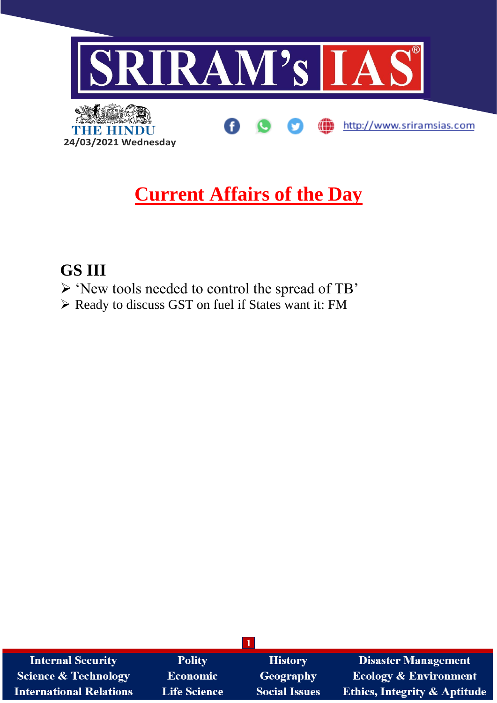

# **Current Affairs of the Day**

## **GS III**

- ➢ 'New tools needed to control the spread of TB'
- ➢ Ready to discuss GST on fuel if States want it: FM

| <b>Internal Security</b>       | <b>Polity</b>       | <b>History</b>       | <b>Disaster Management</b>              |
|--------------------------------|---------------------|----------------------|-----------------------------------------|
| Science & Technology           | <b>Economic</b>     | Geography            | <b>Ecology &amp; Environment</b>        |
| <b>International Relations</b> | <b>Life Science</b> | <b>Social Issues</b> | <b>Ethics, Integrity &amp; Aptitude</b> |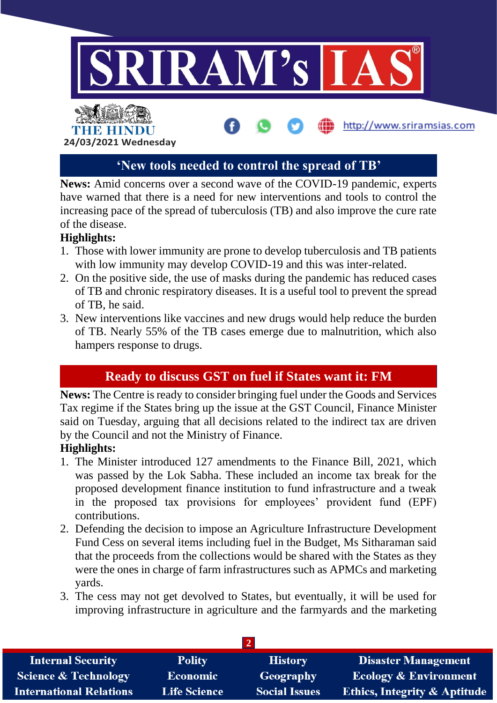

#### **'New tools needed to control the spread of TB'**

**News:** Amid concerns over a second wave of the COVID-19 pandemic, experts have warned that there is a need for new interventions and tools to control the increasing pace of the spread of tuberculosis (TB) and also improve the cure rate of the disease.

#### **Highlights:**

- 1. Those with lower immunity are prone to develop tuberculosis and TB patients with low immunity may develop COVID-19 and this was inter-related.
- 2. On the positive side, the use of masks during the pandemic has reduced cases of TB and chronic respiratory diseases. It is a useful tool to prevent the spread of TB, he said.
- 3. New interventions like vaccines and new drugs would help reduce the burden of TB. Nearly 55% of the TB cases emerge due to malnutrition, which also hampers response to drugs.

### **Ready to discuss GST on fuel if States want it: FM**

**News:** The Centre is ready to consider bringing fuel under the Goods and Services Tax regime if the States bring up the issue at the GST Council, Finance Minister said on Tuesday, arguing that all decisions related to the indirect tax are driven by the Council and not the Ministry of Finance.

#### **Highlights:**

- 1. The Minister introduced 127 amendments to the Finance Bill, 2021, which was passed by the Lok Sabha. These included an income tax break for the proposed development finance institution to fund infrastructure and a tweak in the proposed tax provisions for employees' provident fund (EPF) contributions.
- 2. Defending the decision to impose an Agriculture Infrastructure Development Fund Cess on several items including fuel in the Budget, Ms Sitharaman said that the proceeds from the collections would be shared with the States as they were the ones in charge of farm infrastructures such as APMCs and marketing yards.
- 3. The cess may not get devolved to States, but eventually, it will be used for improving infrastructure in agriculture and the farmyards and the marketing

| <b>Internal Security</b>        | <b>Polity</b>       | <b>History</b>       | Disaster Management                     |  |  |  |
|---------------------------------|---------------------|----------------------|-----------------------------------------|--|--|--|
| <b>Science &amp; Technology</b> | <b>Economic</b>     | Geography            | <b>Ecology &amp; Environment</b>        |  |  |  |
| <b>International Relations</b>  | <b>Life Science</b> | <b>Social Issues</b> | <b>Ethics, Integrity &amp; Aptitude</b> |  |  |  |